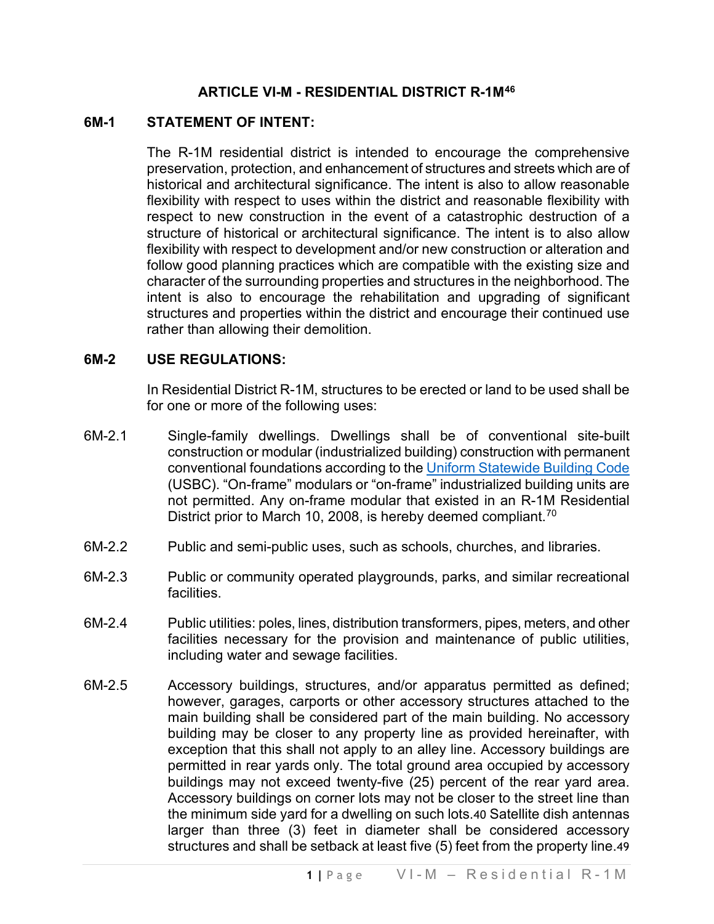#### **ARTICLE VI-M - RESIDENTIAL DISTRICT R-1M[46](#page-5-0)**

#### **6M-1 STATEMENT OF INTENT:**

The R-1M residential district is intended to encourage the comprehensive preservation, protection, and enhancement of structures and streets which are of historical and architectural significance. The intent is also to allow reasonable flexibility with respect to uses within the district and reasonable flexibility with respect to new construction in the event of a catastrophic destruction of a structure of historical or architectural significance. The intent is to also allow flexibility with respect to development and/or new construction or alteration and follow good planning practices which are compatible with the existing size and character of the surrounding properties and structures in the neighborhood. The intent is also to encourage the rehabilitation and upgrading of significant structures and properties within the district and encourage their continued use rather than allowing their demolition.

#### **6M-2 USE REGULATIONS:**

In Residential District R-1M, structures to be erected or land to be used shall be for one or more of the following uses:

- 6M-2.1 Single-family dwellings. Dwellings shall be of conventional site-built construction or modular (industrialized building) construction with permanent conventional foundations according to the [Uniform Statewide Building Code](https://law.lis.virginia.gov/vacode/title36/chapter6/) (USBC). "On-frame" modulars or "on-frame" industrialized building units are not permitted. Any on-frame modular that existed in an R-1M Residential District prior to March 10, 2008, is hereby deemed compliant.<sup>[70](#page-5-1)</sup>
- 6M-2.2 Public and semi-public uses, such as schools, churches, and libraries.
- 6M-2.3 Public or community operated playgrounds, parks, and similar recreational facilities.
- 6M-2.4 Public utilities: poles, lines, distribution transformers, pipes, meters, and other facilities necessary for the provision and maintenance of public utilities, including water and sewage facilities.
- 6M-2.5 Accessory buildings, structures, and/or apparatus permitted as defined; however, garages, carports or other accessory structures attached to the main building shall be considered part of the main building. No accessory building may be closer to any property line as provided hereinafter, with exception that this shall not apply to an alley line. Accessory buildings are permitted in rear yards only. The total ground area occupied by accessory buildings may not exceed twenty-five (25) percent of the rear yard area. Accessory buildings on corner lots may not be closer to the street line than the minimum side yard for a dwelling on such lots.4[0](#page-5-2) Satellite dish antennas larger than three (3) feet in diameter shall be considered accessory structures and shall be setback at least five (5) feet from the property line.4[9](#page-5-3)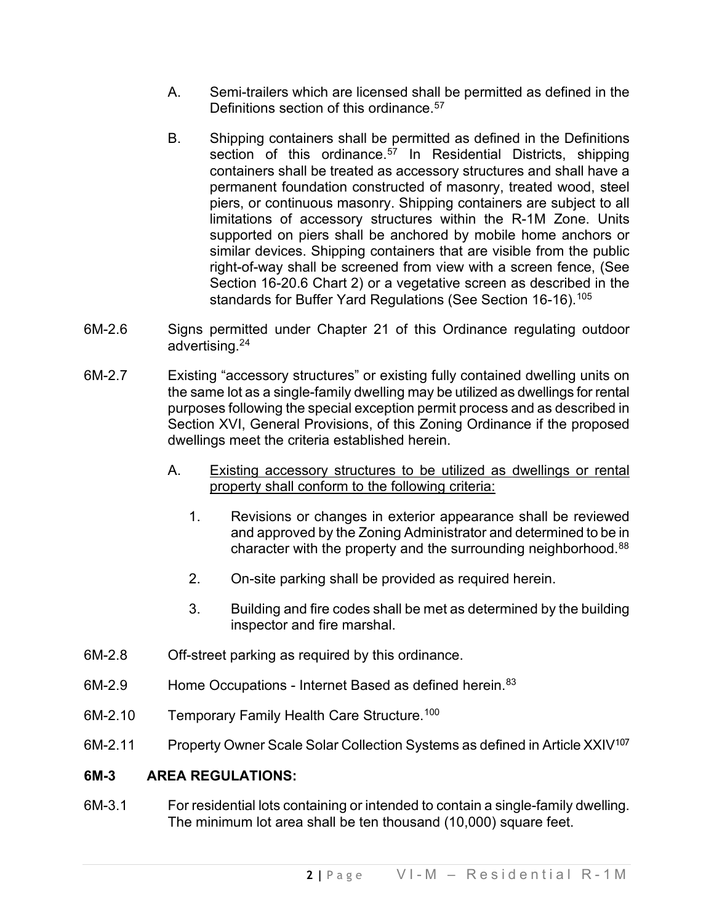- A. Semi-trailers which are licensed shall be permitted as defined in the Definitions section of this ordinance.<sup>[57](#page-5-4)</sup>
- B. Shipping containers shall be permitted as defined in the Definitions section of this ordinance.<sup>[57](#page-5-5)</sup> In Residential Districts, shipping containers shall be treated as accessory structures and shall have a permanent foundation constructed of masonry, treated wood, steel piers, or continuous masonry. Shipping containers are subject to all limitations of accessory structures within the R-1M Zone. Units supported on piers shall be anchored by mobile home anchors or similar devices. Shipping containers that are visible from the public right-of-way shall be screened from view with a screen fence, (See Section 16-20.6 Chart 2) or a vegetative screen as described in the standards for Buffer Yard Regulations (See Section 16-16).<sup>[105](#page-5-6)</sup>
- 6M-2.6 Signs permitted under Chapter 21 of this Ordinance regulating outdoor advertising.2[4](#page-5-7)
- 6M-2.7 Existing "accessory structures" or existing fully contained dwelling units on the same lot as a single-family dwelling may be utilized as dwellings for rental purposes following the special exception permit process and as described in Section XVI, General Provisions, of this Zoning Ordinance if the proposed dwellings meet the criteria established herein.
	- A. Existing accessory structures to be utilized as dwellings or rental property shall conform to the following criteria:
		- 1. Revisions or changes in exterior appearance shall be reviewed and approved by the Zoning Administrator and determined to be in character with the property and the surrounding neighborhood.<sup>[88](#page-5-8)</sup>
		- 2. On-site parking shall be provided as required herein.
		- 3. Building and fire codes shall be met as determined by the building inspector and fire marshal.
- 6M-2.8 Off-street parking as required by this ordinance.
- 6M-2.9 Home Occupations Internet Based as defined herein.<sup>[83](#page-5-9)</sup>
- 6M-2.10 Temporary Family Health Care Structure.<sup>[100](#page-5-10)</sup>
- 6M-2.11 Property Owner Scale Solar Collection Systems as defined in Article XXIV<sup>[107](#page-5-11)</sup>

#### **6M-3 AREA REGULATIONS:**

6M-3.1 For residential lots containing or intended to contain a single-family dwelling. The minimum lot area shall be ten thousand (10,000) square feet.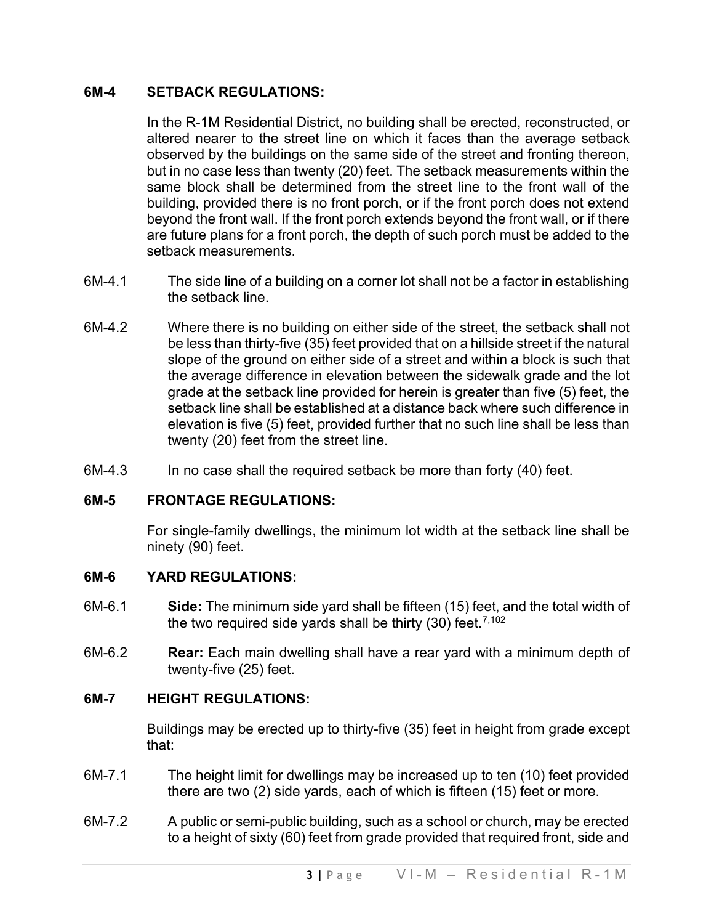# **6M-4 SETBACK REGULATIONS:**

In the R-1M Residential District, no building shall be erected, reconstructed, or altered nearer to the street line on which it faces than the average setback observed by the buildings on the same side of the street and fronting thereon, but in no case less than twenty (20) feet. The setback measurements within the same block shall be determined from the street line to the front wall of the building, provided there is no front porch, or if the front porch does not extend beyond the front wall. If the front porch extends beyond the front wall, or if there are future plans for a front porch, the depth of such porch must be added to the setback measurements.

- 6M-4.1 The side line of a building on a corner lot shall not be a factor in establishing the setback line.
- 6M-4.2 Where there is no building on either side of the street, the setback shall not be less than thirty-five (35) feet provided that on a hillside street if the natural slope of the ground on either side of a street and within a block is such that the average difference in elevation between the sidewalk grade and the lot grade at the setback line provided for herein is greater than five (5) feet, the setback line shall be established at a distance back where such difference in elevation is five (5) feet, provided further that no such line shall be less than twenty (20) feet from the street line.
- 6M-4.3 In no case shall the required setback be more than forty (40) feet.

# **6M-5 FRONTAGE REGULATIONS:**

For single-family dwellings, the minimum lot width at the setback line shall be ninety (90) feet.

# **6M-6 YARD REGULATIONS:**

- 6M-6.1 **Side:** The minimum side yard shall be fifteen (15) feet, and the total width of the two required side yards shall be thirty (30) feet. [7,102](#page-5-12)
- 6M-6.2 **Rear:** Each main dwelling shall have a rear yard with a minimum depth of twenty-five (25) feet.

# **6M-7 HEIGHT REGULATIONS:**

Buildings may be erected up to thirty-five (35) feet in height from grade except that:

- 6M-7.1 The height limit for dwellings may be increased up to ten (10) feet provided there are two (2) side yards, each of which is fifteen (15) feet or more.
- 6M-7.2 A public or semi-public building, such as a school or church, may be erected to a height of sixty (60) feet from grade provided that required front, side and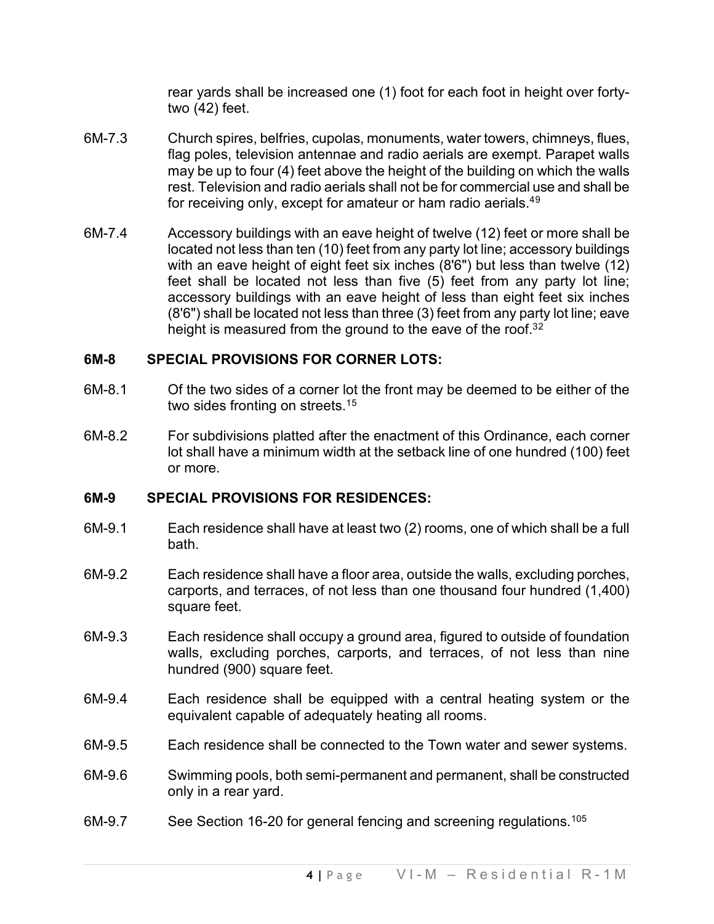rear yards shall be increased one (1) foot for each foot in height over fortytwo (42) feet.

- 6M-7.3 Church spires, belfries, cupolas, monuments, water towers, chimneys, flues, flag poles, television antennae and radio aerials are exempt. Parapet walls may be up to four (4) feet above the height of the building on which the walls rest. Television and radio aerials shall not be for commercial use and shall be for receiving only, except for amateur or ham radio aerials.<sup>4[9](#page-5-13)</sup>
- 6M-7.4 Accessory buildings with an eave height of twelve (12) feet or more shall be located not less than ten (10) feet from any party lot line; accessory buildings with an eave height of eight feet six inches (8'6") but less than twelve (12) feet shall be located not less than five (5) feet from any party lot line; accessory buildings with an eave height of less than eight feet six inches (8'6") shall be located not less than three (3) feet from any party lot line; eave height is measured from the ground to the eave of the roof.<sup>3[2](#page-5-14)</sup>

# **6M-8 SPECIAL PROVISIONS FOR CORNER LOTS:**

- 6M-8.1 Of the two sides of a corner lot the front may be deemed to be either of the two sides fronting on streets.<sup>1[5](#page-5-15)</sup>
- 6M-8.2 For subdivisions platted after the enactment of this Ordinance, each corner lot shall have a minimum width at the setback line of one hundred (100) feet or more.

# **6M-9 SPECIAL PROVISIONS FOR RESIDENCES:**

- 6M-9.1 Each residence shall have at least two (2) rooms, one of which shall be a full bath.
- 6M-9.2 Each residence shall have a floor area, outside the walls, excluding porches, carports, and terraces, of not less than one thousand four hundred (1,400) square feet.
- 6M-9.3 Each residence shall occupy a ground area, figured to outside of foundation walls, excluding porches, carports, and terraces, of not less than nine hundred (900) square feet.
- 6M-9.4 Each residence shall be equipped with a central heating system or the equivalent capable of adequately heating all rooms.
- 6M-9.5 Each residence shall be connected to the Town water and sewer systems.
- 6M-9.6 Swimming pools, both semi-permanent and permanent, shall be constructed only in a rear yard.
- 6M-9.7 See Section 16-20 for general fencing and screening regulations.<sup>[105](#page-5-16)</sup>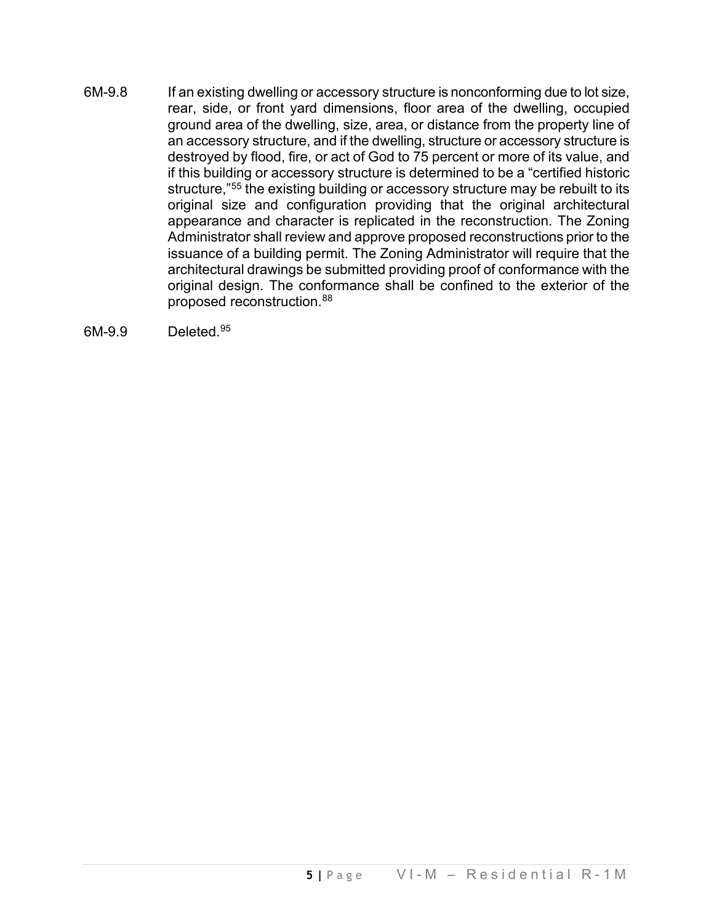- 6M-9.8 If an existing dwelling or accessory structure is nonconforming due to lot size, rear, side, or front yard dimensions, floor area of the dwelling, occupied ground area of the dwelling, size, area, or distance from the property line of an accessory structure, and if the dwelling, structure or accessory structure is destroyed by flood, fire, or act of God to 75 percent or more of its value, and if this building or accessory structure is determined to be a "certified historic structure,["55](#page-5-17) the existing building or accessory structure may be rebuilt to its original size and configuration providing that the original architectural appearance and character is replicated in the reconstruction. The Zoning Administrator shall review and approve proposed reconstructions prior to the issuance of a building permit. The Zoning Administrator will require that the architectural drawings be submitted providing proof of conformance with the original design. The conformance shall be confined to the exterior of the proposed reconstruction[.88](#page-5-18)
- 6M-9.9 Deleted. [95](#page-5-19)